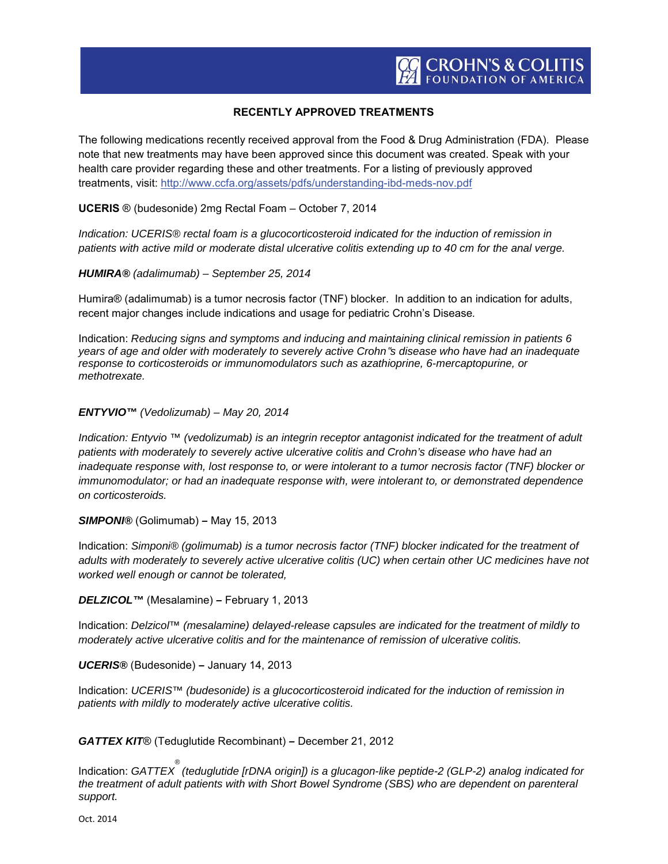## **RECENTLY APPROVED TREATMENTS**

The following medications recently received approval from the Food & Drug Administration (FDA). Please note that new treatments may have been approved since this document was created. Speak with your health care provider regarding these and other treatments. For a listing of previously approved treatments, visit: http://www.ccfa.org/assets/pdfs/understanding-ibd-meds-nov.pdf

**UCERIS** ® (budesonide) 2mg Rectal Foam – October 7, 2014

*Indication: UCERIS® rectal foam is a glucocorticosteroid indicated for the induction of remission in patients with active mild or moderate distal ulcerative colitis extending up to 40 cm for the anal verge.*

*HUMIRA® (adalimumab) – September 25, 2014*

Humira® (adalimumab) is a tumor necrosis factor (TNF) blocker. In addition to an indication for adults, recent major changes include indications and usage for pediatric Crohn's Disease*.*

Indication: *Reducing signs and symptoms and inducing and maintaining clinical remission in patients 6 years of age and older with moderately to severely active Crohn*᪃*s disease who have had an inadequate response to corticosteroids or immunomodulators such as azathioprine, 6-mercaptopurine, or methotrexate.*

## *ENTYVIO™ (Vedolizumab) – May 20, 2014*

*Indication: Entyvio ™ (vedolizumab) is an integrin receptor antagonist indicated for the treatment of adult patients with moderately to severely active ulcerative colitis and Crohn's disease who have had an inadequate response with, lost response to, or were intolerant to a tumor necrosis factor (TNF) blocker or immunomodulator; or had an inadequate response with, were intolerant to, or demonstrated dependence on corticosteroids.*

*SIMPONI®* (Golimumab) *–* May 15, 2013

Indication: *Simponi® (golimumab) is a tumor necrosis factor (TNF) blocker indicated for the treatment of adults with moderately to severely active ulcerative colitis (UC) when certain other UC medicines have not worked well enough or cannot be tolerated,* 

*DELZICOL™* (Mesalamine) *–* February 1, 2013

Indication: *Delzicol™ (mesalamine) delayed-release capsules are indicated for the treatment of mildly to moderately active ulcerative colitis and for the maintenance of remission of ulcerative colitis.*

*UCERIS®* (Budesonide) *–* January 14, 2013

Indication: *UCERIS™ (budesonide) is a glucocorticosteroid indicated for the induction of remission in patients with mildly to moderately active ulcerative colitis.* 

*GATTEX KIT*® (Teduglutide Recombinant) *–* December 21, 2012

Indication: *GATTEX ® (teduglutide [rDNA origin]) is a glucagon-like peptide-2 (GLP-2) analog indicated for the treatment of adult patients with with Short Bowel Syndrome (SBS) who are dependent on parenteral support.*